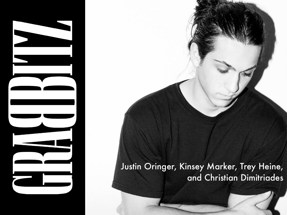#### Justin Oringer, Kinsey Marker, Trey Heine, and Christian Dimitriades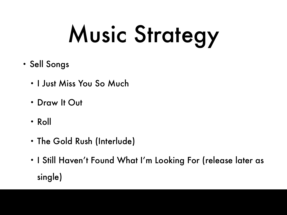## Music Strategy

- Sell Songs
	- I Just Miss You So Much
	- Draw It Out
	- Roll
	- The Gold Rush (Interlude)
	- I Still Haven't Found What I'm Looking For (release later as single)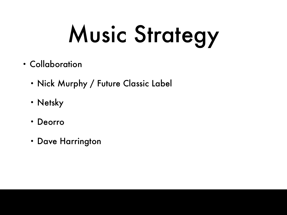## Music Strategy

- Collaboration
	- Nick Murphy / Future Classic Label
	- Netsky
	- Deorro
	- Dave Harrington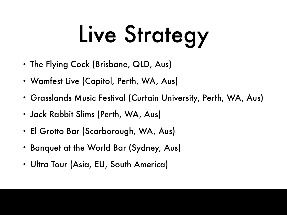## Live Strategy

- The Flying Cock (Brisbane, QLD, Aus)
- Wamfest Live (Capitol, Perth, WA, Aus)
- Grasslands Music Festival (Curtain University, Perth, WA, Aus)
- Jack Rabbit Slims (Perth, WA, Aus)
- El Grotto Bar (Scarborough, WA, Aus)
- Banquet at the World Bar (Sydney, Aus)
- Ultra Tour (Asia, EU, South America)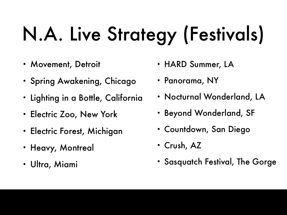### N.A. Live Strategy (Festivals)

- Movement, Detroit
- Spring Awakening, Chicago
- Lighting in a Bottle, California
- Electric Zoo, New York
- Electric Forest, Michigan
- Heavy, Montreal
- Ultra, Miami
- HARD Summer, LA
- Panorama, NY
- Nocturnal Wonderland, LA
- Beyond Wonderland, SF
- Countdown, San Diego
- Crush, AZ
- Sasquatch Festival, The Gorge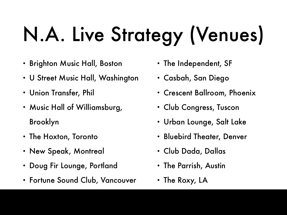## N.A. Live Strategy (Venues)

- Brighton Music Hall, Boston
- U Street Music Hall, Washington
- Union Transfer, Phil
- Music Hall of Williamsburg, Brooklyn
- The Hoxton, Toronto
- New Speak, Montreal
- Doug Fir Lounge, Portland
- Fortune Sound Club, Vancouver
- The Independent, SF
- Casbah, San Diego
- Crescent Ballroom, Phoenix
- Club Congress, Tuscon
- Urban Lounge, Salt Lake
- Bluebird Theater, Denver
- Club Dada, Dallas
- The Parrish, Austin
- The Roxy, LA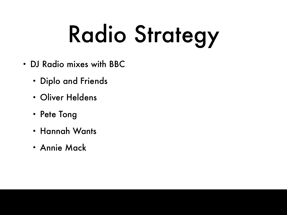## Radio Strategy

- DJ Radio mixes with BBC
	- Diplo and Friends
	- Oliver Heldens
	- Pete Tong
	- Hannah Wants
	- Annie Mack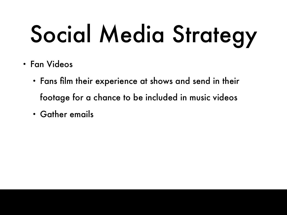## Social Media Strategy

- Fan Videos
	- Fans film their experience at shows and send in their footage for a chance to be included in music videos
	- Gather emails